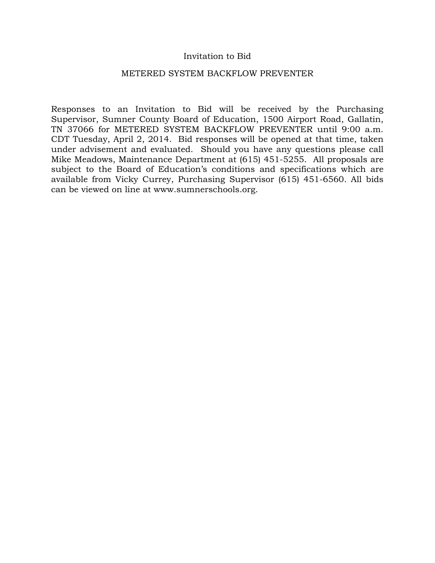## Invitation to Bid

#### METERED SYSTEM BACKFLOW PREVENTER

Responses to an Invitation to Bid will be received by the Purchasing Supervisor, Sumner County Board of Education, 1500 Airport Road, Gallatin, TN 37066 for METERED SYSTEM BACKFLOW PREVENTER until 9:00 a.m. CDT Tuesday, April 2, 2014. Bid responses will be opened at that time, taken under advisement and evaluated. Should you have any questions please call Mike Meadows, Maintenance Department at (615) 451-5255. All proposals are subject to the Board of Education's conditions and specifications which are available from Vicky Currey, Purchasing Supervisor (615) 451-6560. All bids can be viewed on line at www.sumnerschools.org.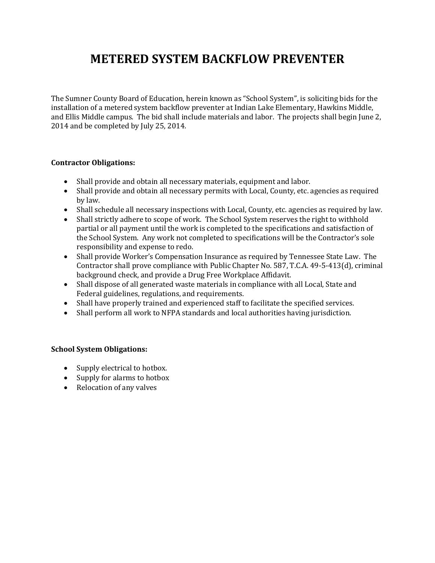# **METERED SYSTEM BACKFLOW PREVENTER**

The Sumner County Board of Education, herein known as "School System", is soliciting bids for the installation of a metered system backflow preventer at Indian Lake Elementary, Hawkins Middle, and Ellis Middle campus. The bid shall include materials and labor. The projects shall begin June 2, 2014 and be completed by July 25, 2014.

## **Contractor Obligations:**

- Shall provide and obtain all necessary materials, equipment and labor.
- Shall provide and obtain all necessary permits with Local, County, etc. agencies as required by law.
- Shall schedule all necessary inspections with Local, County, etc. agencies as required by law.
- Shall strictly adhere to scope of work. The School System reserves the right to withhold partial or all payment until the work is completed to the specifications and satisfaction of the School System. Any work not completed to specifications will be the Contractor's sole responsibility and expense to redo.
- Shall provide Worker's Compensation Insurance as required by Tennessee State Law. The Contractor shall prove compliance with Public Chapter No. 587, T.C.A. 49-5-413(d), criminal background check, and provide a Drug Free Workplace Affidavit.
- Shall dispose of all generated waste materials in compliance with all Local, State and Federal guidelines, regulations, and requirements.
- Shall have properly trained and experienced staff to facilitate the specified services.
- Shall perform all work to NFPA standards and local authorities having jurisdiction.

#### **School System Obligations:**

- Supply electrical to hotbox.
- Supply for alarms to hotbox
- Relocation of any valves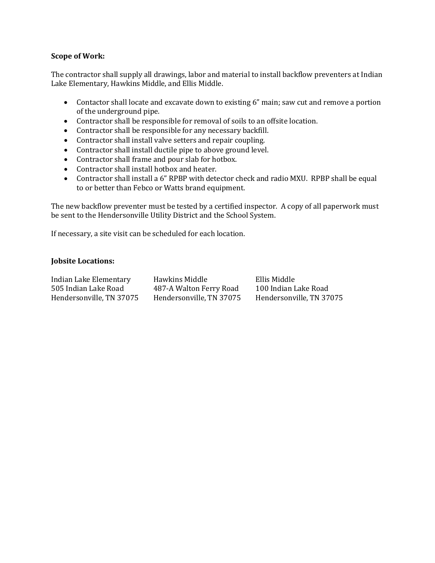### **Scope of Work:**

The contractor shall supply all drawings, labor and material to install backflow preventers at Indian Lake Elementary, Hawkins Middle, and Ellis Middle.

- Contactor shall locate and excavate down to existing 6" main; saw cut and remove a portion of the underground pipe.
- Contractor shall be responsible for removal of soils to an offsite location.
- Contractor shall be responsible for any necessary backfill.
- Contractor shall install valve setters and repair coupling.
- Contractor shall install ductile pipe to above ground level.
- Contractor shall frame and pour slab for hotbox.
- Contractor shall install hotbox and heater.
- Contractor shall install a 6" RPBP with detector check and radio MXU. RPBP shall be equal to or better than Febco or Watts brand equipment.

The new backflow preventer must be tested by a certified inspector. A copy of all paperwork must be sent to the Hendersonville Utility District and the School System.

If necessary, a site visit can be scheduled for each location.

## **Jobsite Locations:**

| Indian Lake Elementary   | Hawkins Middle           | Ellis Middle             |
|--------------------------|--------------------------|--------------------------|
| 505 Indian Lake Road     | 487-A Walton Ferry Road  | 100 Indian Lake Road     |
| Hendersonville, TN 37075 | Hendersonville, TN 37075 | Hendersonville, TN 37075 |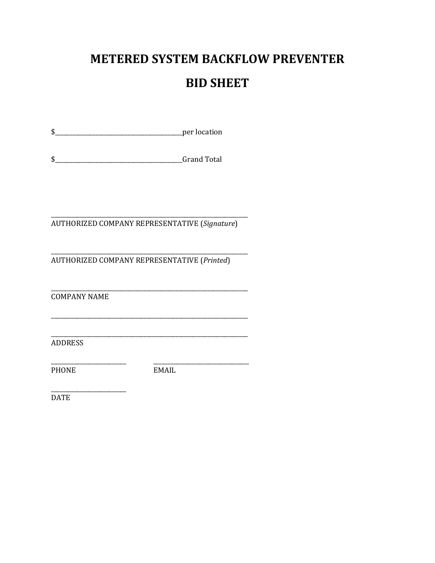# **METERED SYSTEM BACKFLOW PREVENTER**

## **BID SHEET**

AUTHORIZED COMPANY REPRESENTATIVE (Signature)

AUTHORIZED COMPANY REPRESENTATIVE (Printed)

**COMPANY NAME** 

ADDRESS

PHONE

EMAIL

**DATE**